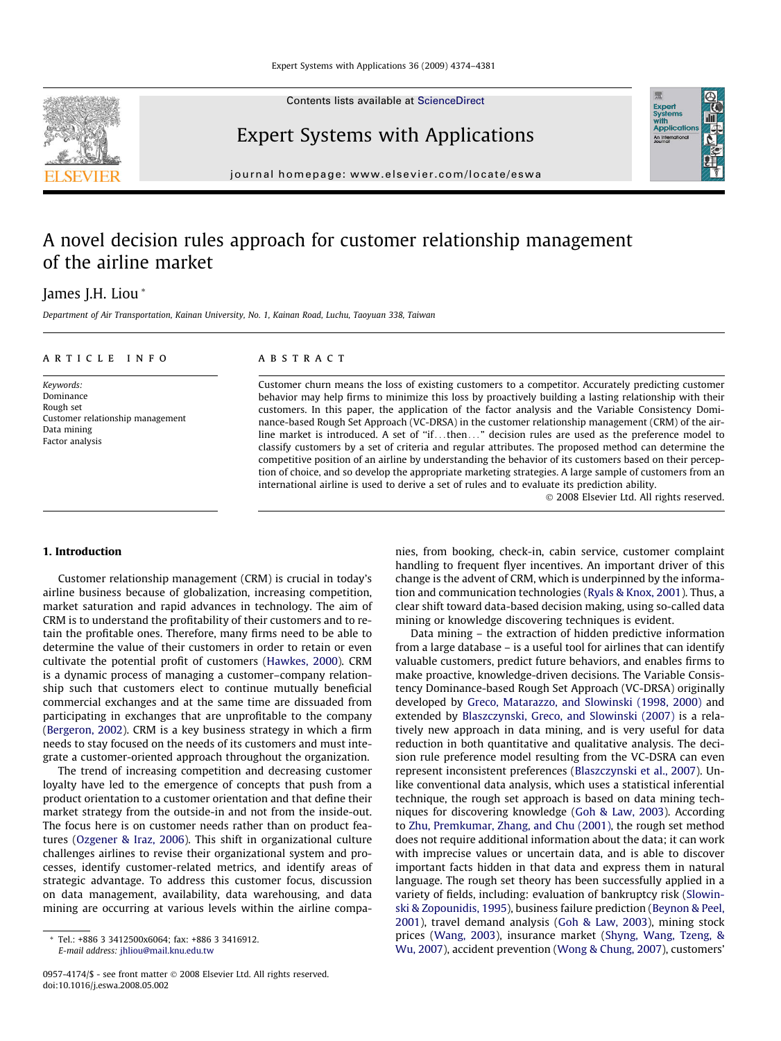Contents lists available at [ScienceDirect](http://www.sciencedirect.com/science/journal/09574174)



journal homepage: [www.elsevier.com/locate/eswa](http://www.elsevier.com/locate/eswa)

## A novel decision rules approach for customer relationship management of the airline market

### James J.H. Liou \*

Department of Air Transportation, Kainan University, No. 1, Kainan Road, Luchu, Taoyuan 338, Taiwan

#### article info

Keywords: Dominance Rough set Customer relationship management Data mining Factor analysis

#### **ABSTRACT**

Customer churn means the loss of existing customers to a competitor. Accurately predicting customer behavior may help firms to minimize this loss by proactively building a lasting relationship with their customers. In this paper, the application of the factor analysis and the Variable Consistency Dominance-based Rough Set Approach (VC-DRSA) in the customer relationship management (CRM) of the airline market is introduced. A set of ''if...then... " decision rules are used as the preference model to classify customers by a set of criteria and regular attributes. The proposed method can determine the competitive position of an airline by understanding the behavior of its customers based on their perception of choice, and so develop the appropriate marketing strategies. A large sample of customers from an international airline is used to derive a set of rules and to evaluate its prediction ability.

- 2008 Elsevier Ltd. All rights reserved.

#### 1. Introduction

Customer relationship management (CRM) is crucial in today's airline business because of globalization, increasing competition, market saturation and rapid advances in technology. The aim of CRM is to understand the profitability of their customers and to retain the profitable ones. Therefore, many firms need to be able to determine the value of their customers in order to retain or even cultivate the potential profit of customers ([Hawkes, 2000\)](#page--1-0). CRM is a dynamic process of managing a customer–company relationship such that customers elect to continue mutually beneficial commercial exchanges and at the same time are dissuaded from participating in exchanges that are unprofitable to the company ([Bergeron, 2002\)](#page--1-0). CRM is a key business strategy in which a firm needs to stay focused on the needs of its customers and must integrate a customer-oriented approach throughout the organization.

The trend of increasing competition and decreasing customer loyalty have led to the emergence of concepts that push from a product orientation to a customer orientation and that define their market strategy from the outside-in and not from the inside-out. The focus here is on customer needs rather than on product features [\(Ozgener & Iraz, 2006\)](#page--1-0). This shift in organizational culture challenges airlines to revise their organizational system and processes, identify customer-related metrics, and identify areas of strategic advantage. To address this customer focus, discussion on data management, availability, data warehousing, and data mining are occurring at various levels within the airline companies, from booking, check-in, cabin service, customer complaint handling to frequent flyer incentives. An important driver of this change is the advent of CRM, which is underpinned by the information and communication technologies [\(Ryals & Knox, 2001\)](#page--1-0). Thus, a clear shift toward data-based decision making, using so-called data mining or knowledge discovering techniques is evident.

Data mining – the extraction of hidden predictive information from a large database – is a useful tool for airlines that can identify valuable customers, predict future behaviors, and enables firms to make proactive, knowledge-driven decisions. The Variable Consistency Dominance-based Rough Set Approach (VC-DRSA) originally developed by [Greco, Matarazzo, and Slowinski \(1998, 2000\)](#page--1-0) and extended by [Blaszczynski, Greco, and Slowinski \(2007\)](#page--1-0) is a relatively new approach in data mining, and is very useful for data reduction in both quantitative and qualitative analysis. The decision rule preference model resulting from the VC-DSRA can even represent inconsistent preferences ([Blaszczynski et al., 2007\)](#page--1-0). Unlike conventional data analysis, which uses a statistical inferential technique, the rough set approach is based on data mining techniques for discovering knowledge ([Goh & Law, 2003\)](#page--1-0). According to [Zhu, Premkumar, Zhang, and Chu \(2001\),](#page--1-0) the rough set method does not require additional information about the data; it can work with imprecise values or uncertain data, and is able to discover important facts hidden in that data and express them in natural language. The rough set theory has been successfully applied in a variety of fields, including: evaluation of bankruptcy risk ([Slowin](#page--1-0)[ski & Zopounidis, 1995\)](#page--1-0), business failure prediction ([Beynon & Peel,](#page--1-0) [2001\)](#page--1-0), travel demand analysis ([Goh & Law, 2003](#page--1-0)), mining stock prices [\(Wang, 2003](#page--1-0)), insurance market ([Shyng, Wang, Tzeng, &](#page--1-0) [Wu, 2007](#page--1-0)), accident prevention [\(Wong & Chung, 2007\)](#page--1-0), customers'





<sup>\*</sup> Tel.: +886 3 3412500x6064; fax: +886 3 3416912. E-mail address: [jhliou@mail.knu.edu.tw](mailto:jhliou@mail.knu.edu.tw)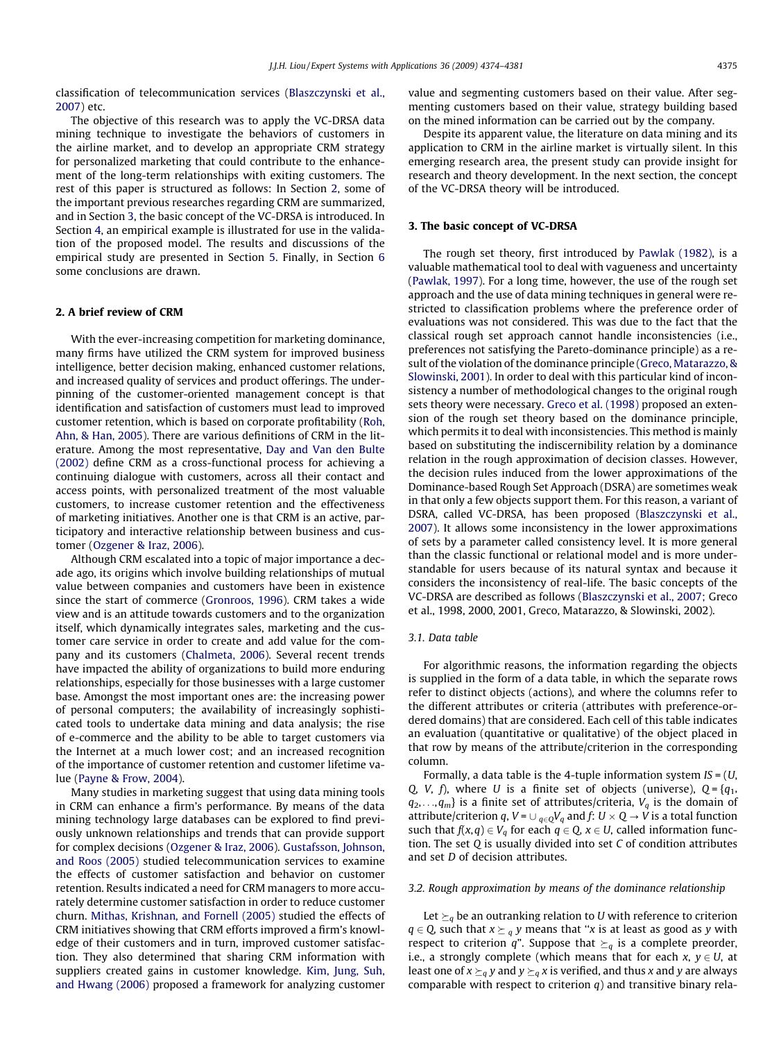classification of telecommunication services [\(Blaszczynski et al.,](#page--1-0) [2007](#page--1-0)) etc.

The objective of this research was to apply the VC-DRSA data mining technique to investigate the behaviors of customers in the airline market, and to develop an appropriate CRM strategy for personalized marketing that could contribute to the enhancement of the long-term relationships with exiting customers. The rest of this paper is structured as follows: In Section 2, some of the important previous researches regarding CRM are summarized, and in Section 3, the basic concept of the VC-DRSA is introduced. In Section [4](#page--1-0), an empirical example is illustrated for use in the validation of the proposed model. The results and discussions of the empirical study are presented in Section [5](#page--1-0). Finally, in Section [6](#page--1-0) some conclusions are drawn.

#### 2. A brief review of CRM

With the ever-increasing competition for marketing dominance, many firms have utilized the CRM system for improved business intelligence, better decision making, enhanced customer relations, and increased quality of services and product offerings. The underpinning of the customer-oriented management concept is that identification and satisfaction of customers must lead to improved customer retention, which is based on corporate profitability [\(Roh,](#page--1-0) [Ahn, & Han, 2005\)](#page--1-0). There are various definitions of CRM in the literature. Among the most representative, [Day and Van den Bulte](#page--1-0) [\(2002\)](#page--1-0) define CRM as a cross-functional process for achieving a continuing dialogue with customers, across all their contact and access points, with personalized treatment of the most valuable customers, to increase customer retention and the effectiveness of marketing initiatives. Another one is that CRM is an active, participatory and interactive relationship between business and customer [\(Ozgener & Iraz, 2006\)](#page--1-0).

Although CRM escalated into a topic of major importance a decade ago, its origins which involve building relationships of mutual value between companies and customers have been in existence since the start of commerce ([Gronroos, 1996\)](#page--1-0). CRM takes a wide view and is an attitude towards customers and to the organization itself, which dynamically integrates sales, marketing and the customer care service in order to create and add value for the company and its customers ([Chalmeta, 2006](#page--1-0)). Several recent trends have impacted the ability of organizations to build more enduring relationships, especially for those businesses with a large customer base. Amongst the most important ones are: the increasing power of personal computers; the availability of increasingly sophisticated tools to undertake data mining and data analysis; the rise of e-commerce and the ability to be able to target customers via the Internet at a much lower cost; and an increased recognition of the importance of customer retention and customer lifetime value ([Payne & Frow, 2004\)](#page--1-0).

Many studies in marketing suggest that using data mining tools in CRM can enhance a firm's performance. By means of the data mining technology large databases can be explored to find previously unknown relationships and trends that can provide support for complex decisions [\(Ozgener & Iraz, 2006\)](#page--1-0). [Gustafsson, Johnson,](#page--1-0) [and Roos \(2005\)](#page--1-0) studied telecommunication services to examine the effects of customer satisfaction and behavior on customer retention. Results indicated a need for CRM managers to more accurately determine customer satisfaction in order to reduce customer churn. [Mithas, Krishnan, and Fornell \(2005\)](#page--1-0) studied the effects of CRM initiatives showing that CRM efforts improved a firm's knowledge of their customers and in turn, improved customer satisfaction. They also determined that sharing CRM information with suppliers created gains in customer knowledge. [Kim, Jung, Suh,](#page--1-0) [and Hwang \(2006\)](#page--1-0) proposed a framework for analyzing customer value and segmenting customers based on their value. After segmenting customers based on their value, strategy building based on the mined information can be carried out by the company.

Despite its apparent value, the literature on data mining and its application to CRM in the airline market is virtually silent. In this emerging research area, the present study can provide insight for research and theory development. In the next section, the concept of the VC-DRSA theory will be introduced.

#### 3. The basic concept of VC-DRSA

The rough set theory, first introduced by [Pawlak \(1982\)](#page--1-0), is a valuable mathematical tool to deal with vagueness and uncertainty ([Pawlak, 1997](#page--1-0)). For a long time, however, the use of the rough set approach and the use of data mining techniques in general were restricted to classification problems where the preference order of evaluations was not considered. This was due to the fact that the classical rough set approach cannot handle inconsistencies (i.e., preferences not satisfying the Pareto-dominance principle) as a result of the violation of the dominance principle ([Greco, Matarazzo, &](#page--1-0) [Slowinski, 2001](#page--1-0)). In order to deal with this particular kind of inconsistency a number of methodological changes to the original rough sets theory were necessary. [Greco et al. \(1998\)](#page--1-0) proposed an extension of the rough set theory based on the dominance principle, which permits it to deal with inconsistencies. This method is mainly based on substituting the indiscernibility relation by a dominance relation in the rough approximation of decision classes. However, the decision rules induced from the lower approximations of the Dominance-based Rough Set Approach (DSRA) are sometimes weak in that only a few objects support them. For this reason, a variant of DSRA, called VC-DRSA, has been proposed [\(Blaszczynski et al.,](#page--1-0) [2007](#page--1-0)). It allows some inconsistency in the lower approximations of sets by a parameter called consistency level. It is more general than the classic functional or relational model and is more understandable for users because of its natural syntax and because it considers the inconsistency of real-life. The basic concepts of the VC-DRSA are described as follows [\(Blaszczynski et al., 2007;](#page--1-0) Greco et al., 1998, 2000, 2001, Greco, Matarazzo, & Slowinski, 2002).

#### 3.1. Data table

For algorithmic reasons, the information regarding the objects is supplied in the form of a data table, in which the separate rows refer to distinct objects (actions), and where the columns refer to the different attributes or criteria (attributes with preference-ordered domains) that are considered. Each cell of this table indicates an evaluation (quantitative or qualitative) of the object placed in that row by means of the attribute/criterion in the corresponding column.

Formally, a data table is the 4-tuple information system  $IS = (U,$ Q, V, f), where U is a finite set of objects (universe),  $Q = \{q_1,$  $q_2,...,q_m$ } is a finite set of attributes/criteria,  $V_q$  is the domain of attribute/criterion q, V =  $\cup_{q \in \mathbb{Q}} V_q$  and f:  $U \times \mathbb{Q} \rightarrow V$  is a total function such that  $f(x,q) \in V_q$  for each  $q \in Q$ ,  $x \in U$ , called information function. The set Q is usually divided into set C of condition attributes and set D of decision attributes.

#### 3.2. Rough approximation by means of the dominance relationship

Let  $\succeq_q$  be an outranking relation to U with reference to criterion  $q \in Q$ , such that  $x \succeq q$  y means that "x is at least as good as y with respect to criterion q". Suppose that  $\succeq_q$  is a complete preorder, i.e., a strongly complete (which means that for each  $x, y \in U$ , at least one of  $x \succeq_a y$  and  $y \succeq_a x$  is verified, and thus x and y are always comparable with respect to criterion  $q$ ) and transitive binary rela-